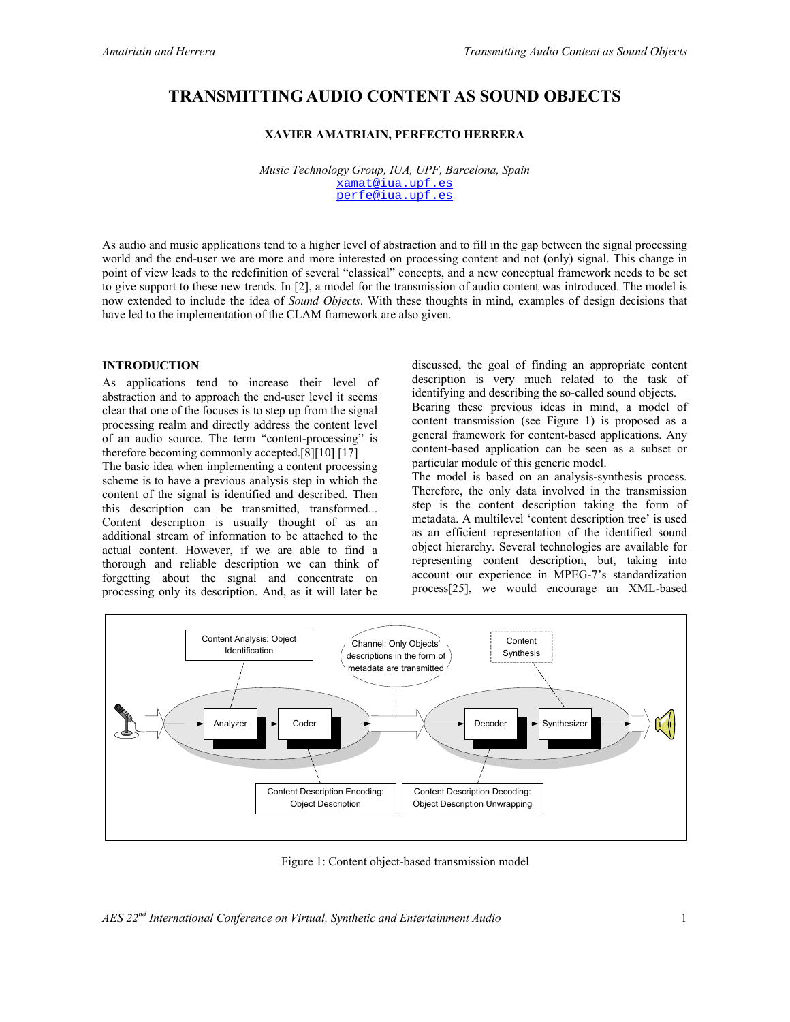# **TRANSMITTING AUDIO CONTENT AS SOUND OBJECTS**

## **XAVIER AMATRIAIN, PERFECTO HERRERA**

*Music Technology Group, IUA, UPF, Barcelona, Spain*  xamat@iua.upf.es perfe@iua.upf.es

As audio and music applications tend to a higher level of abstraction and to fill in the gap between the signal processing world and the end-user we are more and more interested on processing content and not (only) signal. This change in point of view leads to the redefinition of several "classical" concepts, and a new conceptual framework needs to be set to give support to these new trends. In [2], a model for the transmission of audio content was introduced. The model is now extended to include the idea of *Sound Objects*. With these thoughts in mind, examples of design decisions that have led to the implementation of the CLAM framework are also given.

#### **INTRODUCTION**

As applications tend to increase their level of abstraction and to approach the end-user level it seems clear that one of the focuses is to step up from the signal processing realm and directly address the content level of an audio source. The term "content-processing" is therefore becoming commonly accepted.[8][10] [17]

The basic idea when implementing a content processing scheme is to have a previous analysis step in which the content of the signal is identified and described. Then this description can be transmitted, transformed... Content description is usually thought of as an additional stream of information to be attached to the actual content. However, if we are able to find a thorough and reliable description we can think of forgetting about the signal and concentrate on processing only its description. And, as it will later be

discussed, the goal of finding an appropriate content description is very much related to the task of identifying and describing the so-called sound objects.

Bearing these previous ideas in mind, a model of content transmission (see Figure 1) is proposed as a general framework for content-based applications. Any content-based application can be seen as a subset or particular module of this generic model.

The model is based on an analysis-synthesis process. Therefore, the only data involved in the transmission step is the content description taking the form of metadata. A multilevel 'content description tree' is used as an efficient representation of the identified sound object hierarchy. Several technologies are available for representing content description, but, taking into account our experience in MPEG-7's standardization process[25], we would encourage an XML-based



Figure 1: Content object-based transmission model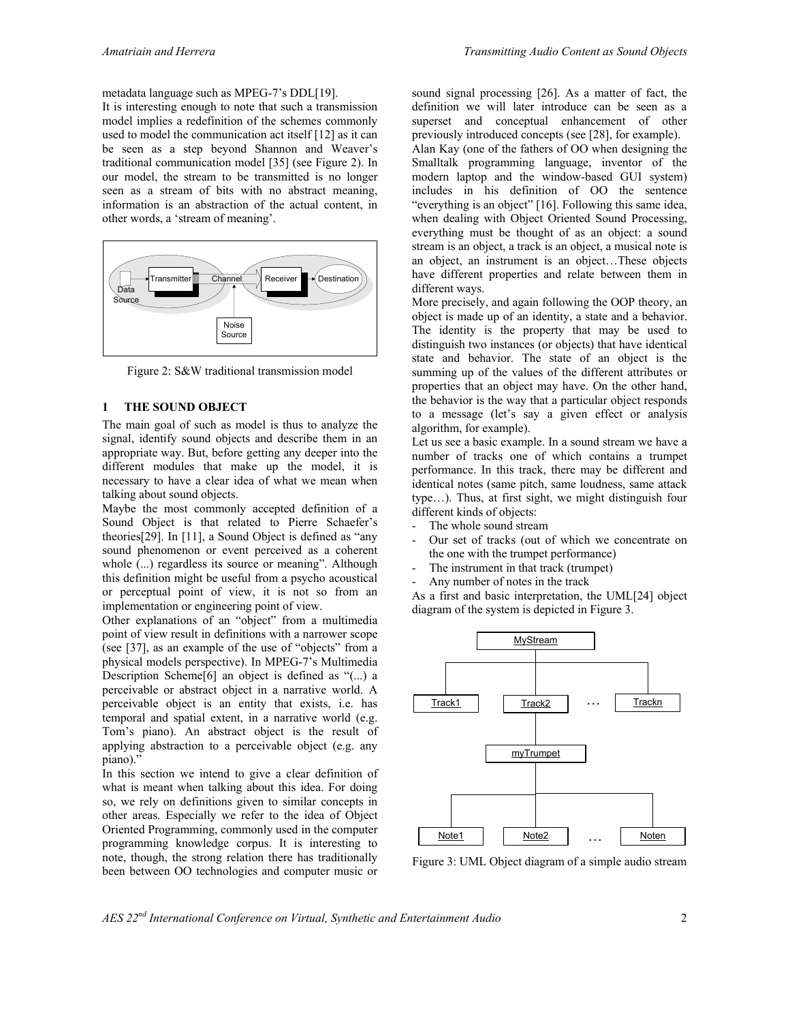metadata language such as MPEG-7's DDL[19].

It is interesting enough to note that such a transmission model implies a redefinition of the schemes commonly used to model the communication act itself [12] as it can be seen as a step beyond Shannon and Weaver's traditional communication model [35] (see Figure 2). In our model, the stream to be transmitted is no longer seen as a stream of bits with no abstract meaning, information is an abstraction of the actual content, in other words, a 'stream of meaning'.



Figure 2: S&W traditional transmission model

#### **1 THE SOUND OBJECT**

The main goal of such as model is thus to analyze the signal, identify sound objects and describe them in an appropriate way. But, before getting any deeper into the different modules that make up the model, it is necessary to have a clear idea of what we mean when talking about sound objects.

Maybe the most commonly accepted definition of a Sound Object is that related to Pierre Schaefer's theories[29]. In [11], a Sound Object is defined as "any sound phenomenon or event perceived as a coherent whole  $(...)$  regardless its source or meaning". Although this definition might be useful from a psycho acoustical or perceptual point of view, it is not so from an implementation or engineering point of view.

Other explanations of an "object" from a multimedia point of view result in definitions with a narrower scope (see [37], as an example of the use of "objects" from a physical models perspective). In MPEG-7's Multimedia Description Scheme[6] an object is defined as "(...) a perceivable or abstract object in a narrative world. A perceivable object is an entity that exists, i.e. has temporal and spatial extent, in a narrative world (e.g. Tom's piano). An abstract object is the result of applying abstraction to a perceivable object (e.g. any piano)."

In this section we intend to give a clear definition of what is meant when talking about this idea. For doing so, we rely on definitions given to similar concepts in other areas. Especially we refer to the idea of Object Oriented Programming, commonly used in the computer programming knowledge corpus. It is interesting to note, though, the strong relation there has traditionally been between OO technologies and computer music or

sound signal processing [26]. As a matter of fact, the definition we will later introduce can be seen as a superset and conceptual enhancement of other previously introduced concepts (see [28], for example). Alan Kay (one of the fathers of OO when designing the Smalltalk programming language, inventor of the modern laptop and the window-based GUI system) includes in his definition of OO the sentence "everything is an object" [16]. Following this same idea, when dealing with Object Oriented Sound Processing, everything must be thought of as an object: a sound stream is an object, a track is an object, a musical note is an object, an instrument is an object…These objects have different properties and relate between them in different ways.

More precisely, and again following the OOP theory, an object is made up of an identity, a state and a behavior. The identity is the property that may be used to distinguish two instances (or objects) that have identical state and behavior. The state of an object is the summing up of the values of the different attributes or properties that an object may have. On the other hand, the behavior is the way that a particular object responds to a message (let's say a given effect or analysis algorithm, for example).

Let us see a basic example. In a sound stream we have a number of tracks one of which contains a trumpet performance. In this track, there may be different and identical notes (same pitch, same loudness, same attack type…). Thus, at first sight, we might distinguish four different kinds of objects:

- The whole sound stream
- Our set of tracks (out of which we concentrate on the one with the trumpet performance)
- The instrument in that track (trumpet)
- Any number of notes in the track

As a first and basic interpretation, the UML[24] object diagram of the system is depicted in Figure 3.



Figure 3: UML Object diagram of a simple audio stream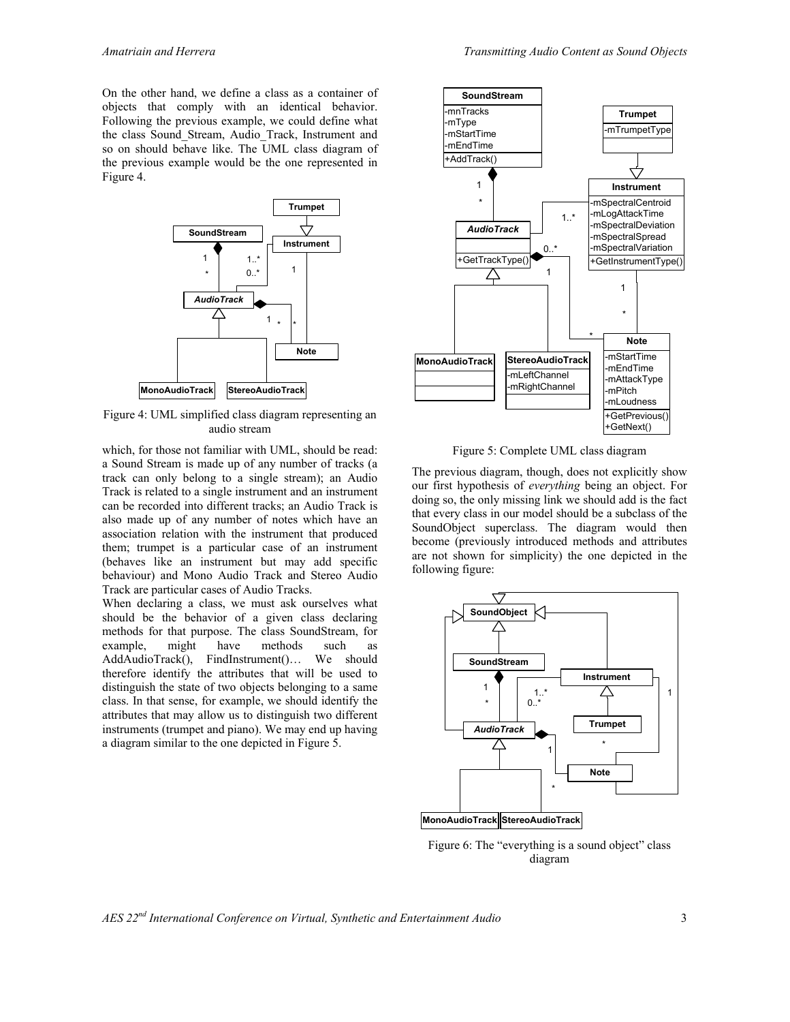On the other hand, we define a class as a container of objects that comply with an identical behavior. Following the previous example, we could define what the class Sound\_Stream, Audio\_Track, Instrument and so on should behave like. The UML class diagram of the previous example would be the one represented in Figure 4.



Figure 4: UML simplified class diagram representing an audio stream

which, for those not familiar with UML, should be read: a Sound Stream is made up of any number of tracks (a track can only belong to a single stream); an Audio Track is related to a single instrument and an instrument can be recorded into different tracks; an Audio Track is also made up of any number of notes which have an association relation with the instrument that produced them; trumpet is a particular case of an instrument (behaves like an instrument but may add specific behaviour) and Mono Audio Track and Stereo Audio Track are particular cases of Audio Tracks.

When declaring a class, we must ask ourselves what should be the behavior of a given class declaring methods for that purpose. The class SoundStream, for example, might have methods such as AddAudioTrack(), FindInstrument()… We should therefore identify the attributes that will be used to distinguish the state of two objects belonging to a same class. In that sense, for example, we should identify the attributes that may allow us to distinguish two different instruments (trumpet and piano). We may end up having a diagram similar to the one depicted in Figure 5.



Figure 5: Complete UML class diagram

The previous diagram, though, does not explicitly show our first hypothesis of *everything* being an object. For doing so, the only missing link we should add is the fact that every class in our model should be a subclass of the SoundObject superclass. The diagram would then become (previously introduced methods and attributes are not shown for simplicity) the one depicted in the following figure:



Figure 6: The "everything is a sound object" class diagram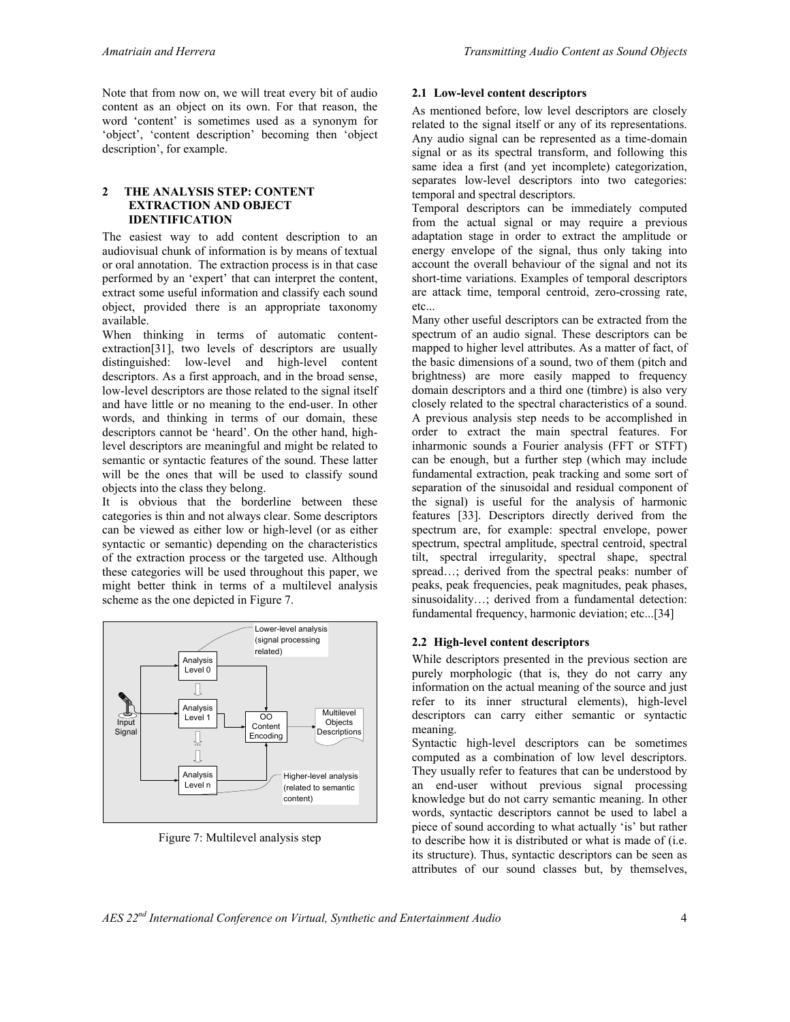Note that from now on, we will treat every bit of audio content as an object on its own. For that reason, the word 'content' is sometimes used as a synonym for 'object', 'content description' becoming then 'object description', for example.

#### **2 THE ANALYSIS STEP: CONTENT EXTRACTION AND OBJECT IDENTIFICATION**

The easiest way to add content description to an audiovisual chunk of information is by means of textual or oral annotation. The extraction process is in that case performed by an 'expert' that can interpret the content, extract some useful information and classify each sound object, provided there is an appropriate taxonomy available.

When thinking in terms of automatic contentextraction[31], two levels of descriptors are usually distinguished: low-level and high-level content descriptors. As a first approach, and in the broad sense, low-level descriptors are those related to the signal itself and have little or no meaning to the end-user. In other words, and thinking in terms of our domain, these descriptors cannot be 'heard'. On the other hand, highlevel descriptors are meaningful and might be related to semantic or syntactic features of the sound. These latter will be the ones that will be used to classify sound objects into the class they belong.

It is obvious that the borderline between these categories is thin and not always clear. Some descriptors can be viewed as either low or high-level (or as either syntactic or semantic) depending on the characteristics of the extraction process or the targeted use. Although these categories will be used throughout this paper, we might better think in terms of a multilevel analysis scheme as the one depicted in Figure 7.



Figure 7: Multilevel analysis step

## **2.1 Low-level content descriptors**

As mentioned before, low level descriptors are closely related to the signal itself or any of its representations. Any audio signal can be represented as a time-domain signal or as its spectral transform, and following this same idea a first (and yet incomplete) categorization, separates low-level descriptors into two categories: temporal and spectral descriptors.

Temporal descriptors can be immediately computed from the actual signal or may require a previous adaptation stage in order to extract the amplitude or energy envelope of the signal, thus only taking into account the overall behaviour of the signal and not its short-time variations. Examples of temporal descriptors are attack time, temporal centroid, zero-crossing rate, etc...

Many other useful descriptors can be extracted from the spectrum of an audio signal. These descriptors can be mapped to higher level attributes. As a matter of fact, of the basic dimensions of a sound, two of them (pitch and brightness) are more easily mapped to frequency domain descriptors and a third one (timbre) is also very closely related to the spectral characteristics of a sound. A previous analysis step needs to be accomplished in order to extract the main spectral features. For inharmonic sounds a Fourier analysis (FFT or STFT) can be enough, but a further step (which may include fundamental extraction, peak tracking and some sort of separation of the sinusoidal and residual component of the signal) is useful for the analysis of harmonic features [33]. Descriptors directly derived from the spectrum are, for example: spectral envelope, power spectrum, spectral amplitude, spectral centroid, spectral tilt, spectral irregularity, spectral shape, spectral spread…; derived from the spectral peaks: number of peaks, peak frequencies, peak magnitudes, peak phases, sinusoidality...; derived from a fundamental detection: fundamental frequency, harmonic deviation; etc...[34]

## **2.2 High-level content descriptors**

While descriptors presented in the previous section are purely morphologic (that is, they do not carry any information on the actual meaning of the source and just refer to its inner structural elements), high-level descriptors can carry either semantic or syntactic meaning.

Syntactic high-level descriptors can be sometimes computed as a combination of low level descriptors. They usually refer to features that can be understood by an end-user without previous signal processing knowledge but do not carry semantic meaning. In other words, syntactic descriptors cannot be used to label a piece of sound according to what actually 'is' but rather to describe how it is distributed or what is made of (i.e. its structure). Thus, syntactic descriptors can be seen as attributes of our sound classes but, by themselves,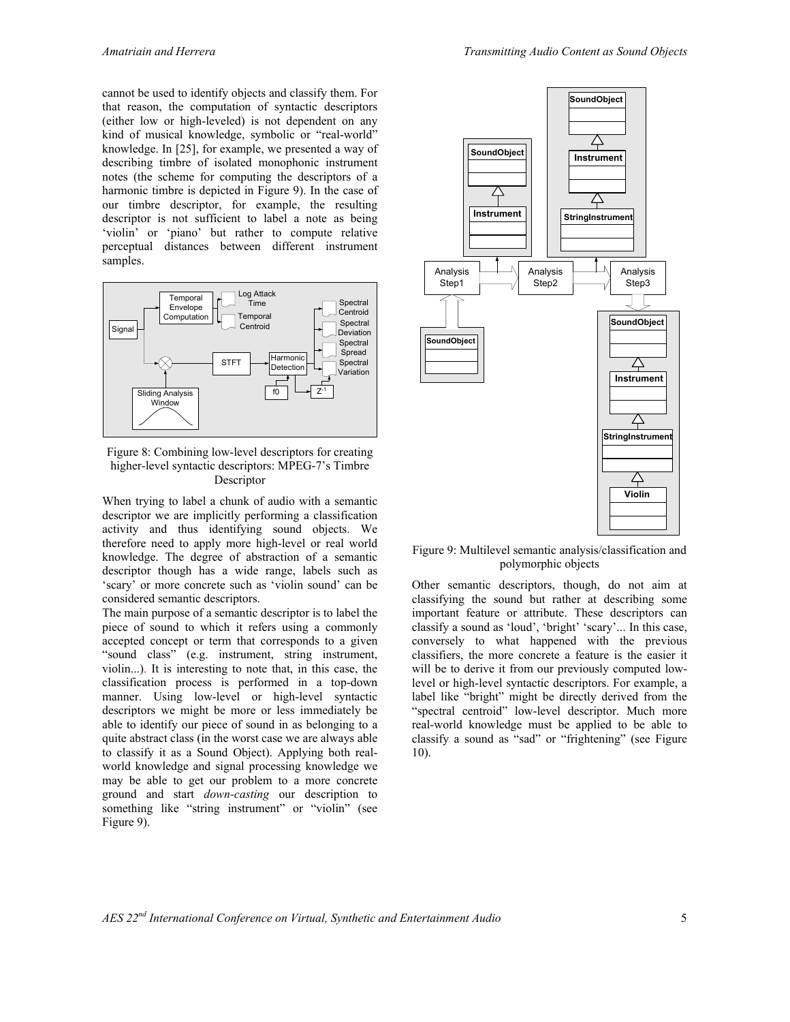cannot be used to identify objects and classify them. For that reason, the computation of syntactic descriptors (either low or high-leveled) is not dependent on any kind of musical knowledge, symbolic or "real-world" knowledge. In [25], for example, we presented a way of describing timbre of isolated monophonic instrument notes (the scheme for computing the descriptors of a harmonic timbre is depicted in Figure 9). In the case of our timbre descriptor, for example, the resulting descriptor is not sufficient to label a note as being 'violin' or 'piano' but rather to compute relative perceptual distances between different instrument samples.



Figure 8: Combining low-level descriptors for creating higher-level syntactic descriptors: MPEG-7's Timbre Descriptor

When trying to label a chunk of audio with a semantic descriptor we are implicitly performing a classification activity and thus identifying sound objects. We therefore need to apply more high-level or real world knowledge. The degree of abstraction of a semantic descriptor though has a wide range, labels such as 'scary' or more concrete such as 'violin sound' can be considered semantic descriptors.

The main purpose of a semantic descriptor is to label the piece of sound to which it refers using a commonly accepted concept or term that corresponds to a given "sound class" (e.g. instrument, string instrument, violin...). It is interesting to note that, in this case, the classification process is performed in a top-down manner. Using low-level or high-level syntactic descriptors we might be more or less immediately be able to identify our piece of sound in as belonging to a quite abstract class (in the worst case we are always able to classify it as a Sound Object). Applying both realworld knowledge and signal processing knowledge we may be able to get our problem to a more concrete ground and start *down-casting* our description to something like "string instrument" or "violin" (see Figure 9).



Figure 9: Multilevel semantic analysis/classification and polymorphic objects

Other semantic descriptors, though, do not aim at classifying the sound but rather at describing some important feature or attribute. These descriptors can classify a sound as 'loud', 'bright' 'scary'... In this case, conversely to what happened with the previous classifiers, the more concrete a feature is the easier it will be to derive it from our previously computed lowlevel or high-level syntactic descriptors. For example, a label like "bright" might be directly derived from the "spectral centroid" low-level descriptor. Much more real-world knowledge must be applied to be able to classify a sound as "sad" or "frightening" (see Figure 10).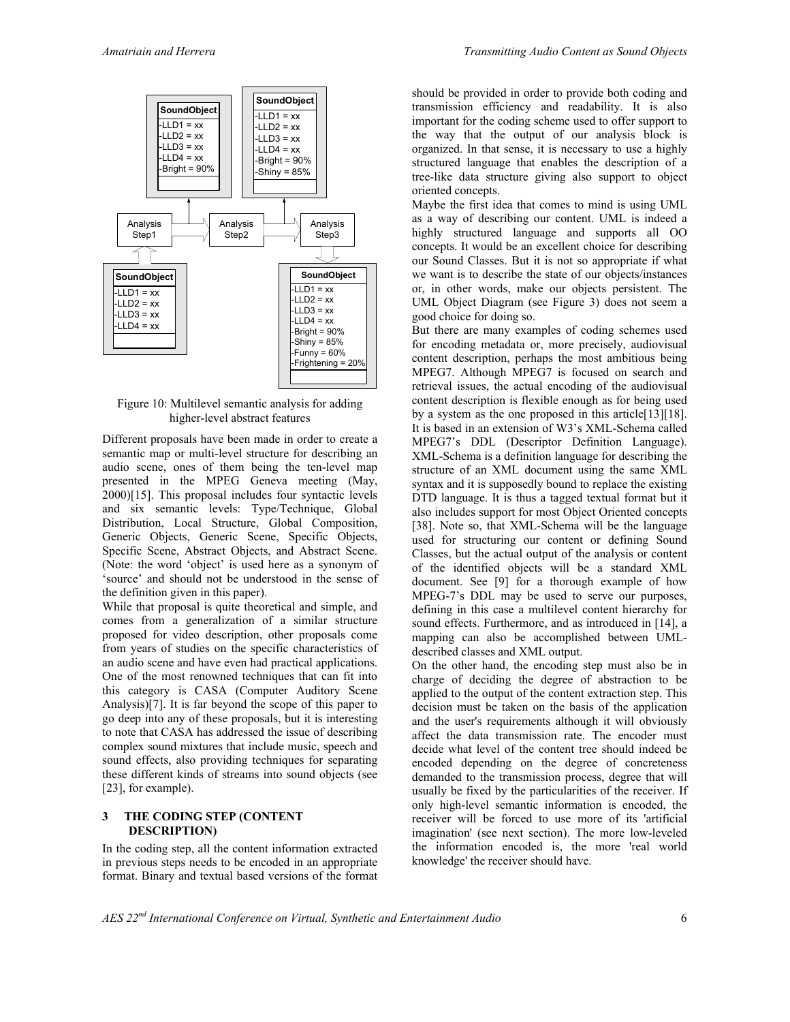

#### Figure 10: Multilevel semantic analysis for adding higher-level abstract features

Different proposals have been made in order to create a semantic map or multi-level structure for describing an audio scene, ones of them being the ten-level map presented in the MPEG Geneva meeting (May, 2000)[15]. This proposal includes four syntactic levels and six semantic levels: Type/Technique, Global Distribution, Local Structure, Global Composition, Generic Objects, Generic Scene, Specific Objects, Specific Scene, Abstract Objects, and Abstract Scene. (Note: the word 'object' is used here as a synonym of 'source' and should not be understood in the sense of the definition given in this paper).

While that proposal is quite theoretical and simple, and comes from a generalization of a similar structure proposed for video description, other proposals come from years of studies on the specific characteristics of an audio scene and have even had practical applications. One of the most renowned techniques that can fit into this category is CASA (Computer Auditory Scene Analysis)[7]. It is far beyond the scope of this paper to go deep into any of these proposals, but it is interesting to note that CASA has addressed the issue of describing complex sound mixtures that include music, speech and sound effects, also providing techniques for separating these different kinds of streams into sound objects (see [23], for example).

## **3 THE CODING STEP (CONTENT DESCRIPTION)**

In the coding step, all the content information extracted in previous steps needs to be encoded in an appropriate format. Binary and textual based versions of the format should be provided in order to provide both coding and transmission efficiency and readability. It is also important for the coding scheme used to offer support to the way that the output of our analysis block is organized. In that sense, it is necessary to use a highly structured language that enables the description of a tree-like data structure giving also support to object oriented concepts.

Maybe the first idea that comes to mind is using UML as a way of describing our content. UML is indeed a highly structured language and supports all OO concepts. It would be an excellent choice for describing our Sound Classes. But it is not so appropriate if what we want is to describe the state of our objects/instances or, in other words, make our objects persistent. The UML Object Diagram (see Figure 3) does not seem a good choice for doing so.

But there are many examples of coding schemes used for encoding metadata or, more precisely, audiovisual content description, perhaps the most ambitious being MPEG7. Although MPEG7 is focused on search and retrieval issues, the actual encoding of the audiovisual content description is flexible enough as for being used by a system as the one proposed in this article[13][18]. It is based in an extension of W3's XML-Schema called MPEG7's DDL (Descriptor Definition Language). XML-Schema is a definition language for describing the structure of an XML document using the same XML syntax and it is supposedly bound to replace the existing DTD language. It is thus a tagged textual format but it also includes support for most Object Oriented concepts [38]. Note so, that XML-Schema will be the language used for structuring our content or defining Sound Classes, but the actual output of the analysis or content of the identified objects will be a standard XML document. See [9] for a thorough example of how MPEG-7's DDL may be used to serve our purposes, defining in this case a multilevel content hierarchy for sound effects. Furthermore, and as introduced in [14], a mapping can also be accomplished between UMLdescribed classes and XML output.

On the other hand, the encoding step must also be in charge of deciding the degree of abstraction to be applied to the output of the content extraction step. This decision must be taken on the basis of the application and the user's requirements although it will obviously affect the data transmission rate. The encoder must decide what level of the content tree should indeed be encoded depending on the degree of concreteness demanded to the transmission process, degree that will usually be fixed by the particularities of the receiver. If only high-level semantic information is encoded, the receiver will be forced to use more of its 'artificial imagination' (see next section). The more low-leveled the information encoded is, the more 'real world knowledge' the receiver should have.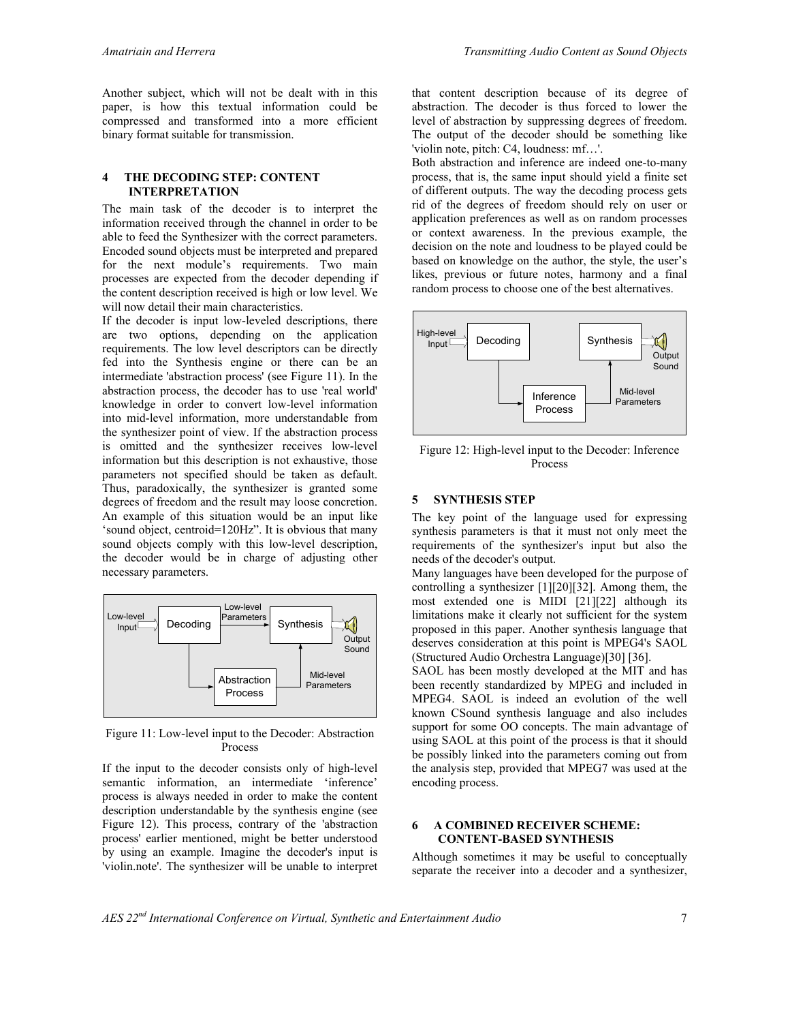Another subject, which will not be dealt with in this paper, is how this textual information could be compressed and transformed into a more efficient binary format suitable for transmission.

#### **4 THE DECODING STEP: CONTENT INTERPRETATION**

The main task of the decoder is to interpret the information received through the channel in order to be able to feed the Synthesizer with the correct parameters. Encoded sound objects must be interpreted and prepared for the next module's requirements. Two main processes are expected from the decoder depending if the content description received is high or low level. We will now detail their main characteristics.

If the decoder is input low-leveled descriptions, there are two options, depending on the application requirements. The low level descriptors can be directly fed into the Synthesis engine or there can be an intermediate 'abstraction process' (see Figure 11). In the abstraction process, the decoder has to use 'real world' knowledge in order to convert low-level information into mid-level information, more understandable from the synthesizer point of view. If the abstraction process is omitted and the synthesizer receives low-level information but this description is not exhaustive, those parameters not specified should be taken as default. Thus, paradoxically, the synthesizer is granted some degrees of freedom and the result may loose concretion. An example of this situation would be an input like 'sound object, centroid=120Hz". It is obvious that many sound objects comply with this low-level description, the decoder would be in charge of adjusting other necessary parameters.



Figure 11: Low-level input to the Decoder: Abstraction Process

If the input to the decoder consists only of high-level semantic information, an intermediate 'inference' process is always needed in order to make the content description understandable by the synthesis engine (see Figure 12). This process, contrary of the 'abstraction process' earlier mentioned, might be better understood by using an example. Imagine the decoder's input is 'violin.note'. The synthesizer will be unable to interpret that content description because of its degree of abstraction. The decoder is thus forced to lower the level of abstraction by suppressing degrees of freedom. The output of the decoder should be something like 'violin note, pitch: C4, loudness: mf…'.

Both abstraction and inference are indeed one-to-many process, that is, the same input should yield a finite set of different outputs. The way the decoding process gets rid of the degrees of freedom should rely on user or application preferences as well as on random processes or context awareness. In the previous example, the decision on the note and loudness to be played could be based on knowledge on the author, the style, the user's likes, previous or future notes, harmony and a final random process to choose one of the best alternatives.



Figure 12: High-level input to the Decoder: Inference Process

#### **5 SYNTHESIS STEP**

The key point of the language used for expressing synthesis parameters is that it must not only meet the requirements of the synthesizer's input but also the needs of the decoder's output.

Many languages have been developed for the purpose of controlling a synthesizer [1][20][32]. Among them, the most extended one is MIDI [21][22] although its limitations make it clearly not sufficient for the system proposed in this paper. Another synthesis language that deserves consideration at this point is MPEG4's SAOL (Structured Audio Orchestra Language)[30] [36].

SAOL has been mostly developed at the MIT and has been recently standardized by MPEG and included in MPEG4. SAOL is indeed an evolution of the well known CSound synthesis language and also includes support for some OO concepts. The main advantage of using SAOL at this point of the process is that it should be possibly linked into the parameters coming out from the analysis step, provided that MPEG7 was used at the encoding process.

#### **6 A COMBINED RECEIVER SCHEME: CONTENT-BASED SYNTHESIS**

Although sometimes it may be useful to conceptually separate the receiver into a decoder and a synthesizer,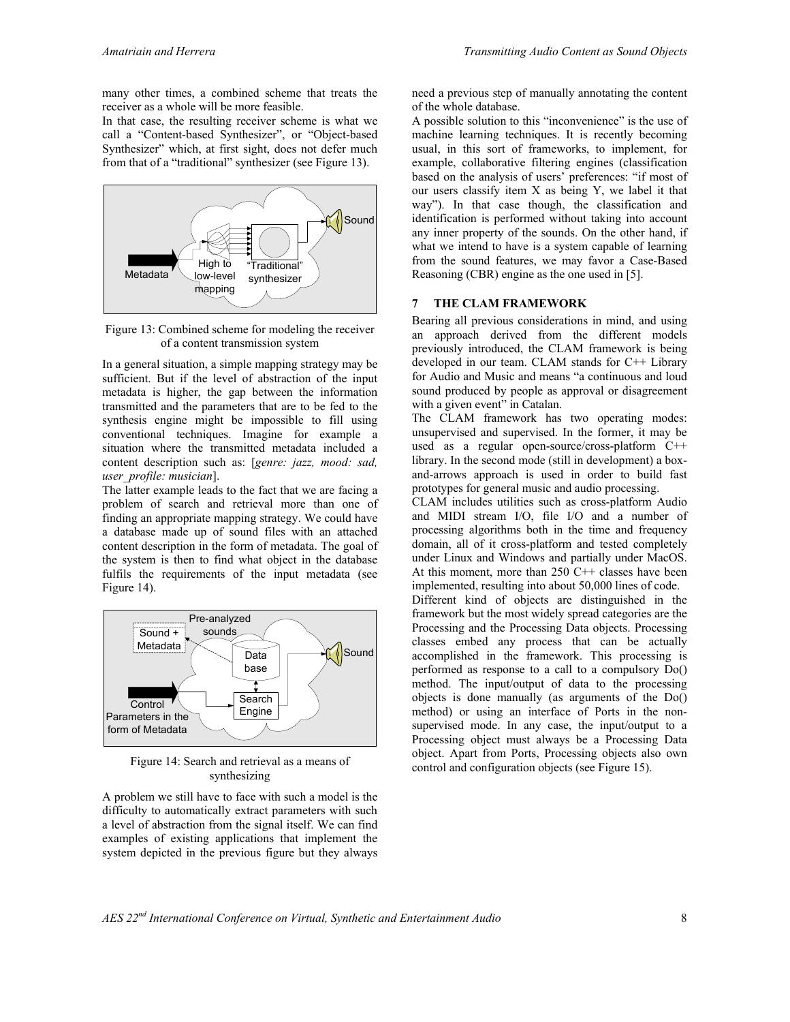many other times, a combined scheme that treats the receiver as a whole will be more feasible.

In that case, the resulting receiver scheme is what we call a "Content-based Synthesizer", or "Object-based Synthesizer" which, at first sight, does not defer much from that of a "traditional" synthesizer (see Figure 13).



Figure 13: Combined scheme for modeling the receiver of a content transmission system

In a general situation, a simple mapping strategy may be sufficient. But if the level of abstraction of the input metadata is higher, the gap between the information transmitted and the parameters that are to be fed to the synthesis engine might be impossible to fill using conventional techniques. Imagine for example a situation where the transmitted metadata included a content description such as: [*genre: jazz, mood: sad, user\_profile: musician*].

The latter example leads to the fact that we are facing a problem of search and retrieval more than one of finding an appropriate mapping strategy. We could have a database made up of sound files with an attached content description in the form of metadata. The goal of the system is then to find what object in the database fulfils the requirements of the input metadata (see Figure 14).



Figure 14: Search and retrieval as a means of synthesizing

A problem we still have to face with such a model is the difficulty to automatically extract parameters with such a level of abstraction from the signal itself. We can find examples of existing applications that implement the system depicted in the previous figure but they always need a previous step of manually annotating the content of the whole database.

A possible solution to this "inconvenience" is the use of machine learning techniques. It is recently becoming usual, in this sort of frameworks, to implement, for example, collaborative filtering engines (classification based on the analysis of users' preferences: "if most of our users classify item X as being Y, we label it that way"). In that case though, the classification and identification is performed without taking into account any inner property of the sounds. On the other hand, if what we intend to have is a system capable of learning from the sound features, we may favor a Case-Based Reasoning (CBR) engine as the one used in [5].

## **7 THE CLAM FRAMEWORK**

Bearing all previous considerations in mind, and using an approach derived from the different models previously introduced, the CLAM framework is being developed in our team. CLAM stands for C++ Library for Audio and Music and means "a continuous and loud sound produced by people as approval or disagreement with a given event" in Catalan.

The CLAM framework has two operating modes: unsupervised and supervised. In the former, it may be used as a regular open-source/cross-platform C++ library. In the second mode (still in development) a boxand-arrows approach is used in order to build fast prototypes for general music and audio processing.

CLAM includes utilities such as cross-platform Audio and MIDI stream I/O, file I/O and a number of processing algorithms both in the time and frequency domain, all of it cross-platform and tested completely under Linux and Windows and partially under MacOS. At this moment, more than 250 C++ classes have been implemented, resulting into about 50,000 lines of code. Different kind of objects are distinguished in the framework but the most widely spread categories are the Processing and the Processing Data objects. Processing classes embed any process that can be actually accomplished in the framework. This processing is performed as response to a call to a compulsory Do() method. The input/output of data to the processing objects is done manually (as arguments of the Do() method) or using an interface of Ports in the nonsupervised mode. In any case, the input/output to a Processing object must always be a Processing Data object. Apart from Ports, Processing objects also own control and configuration objects (see Figure 15).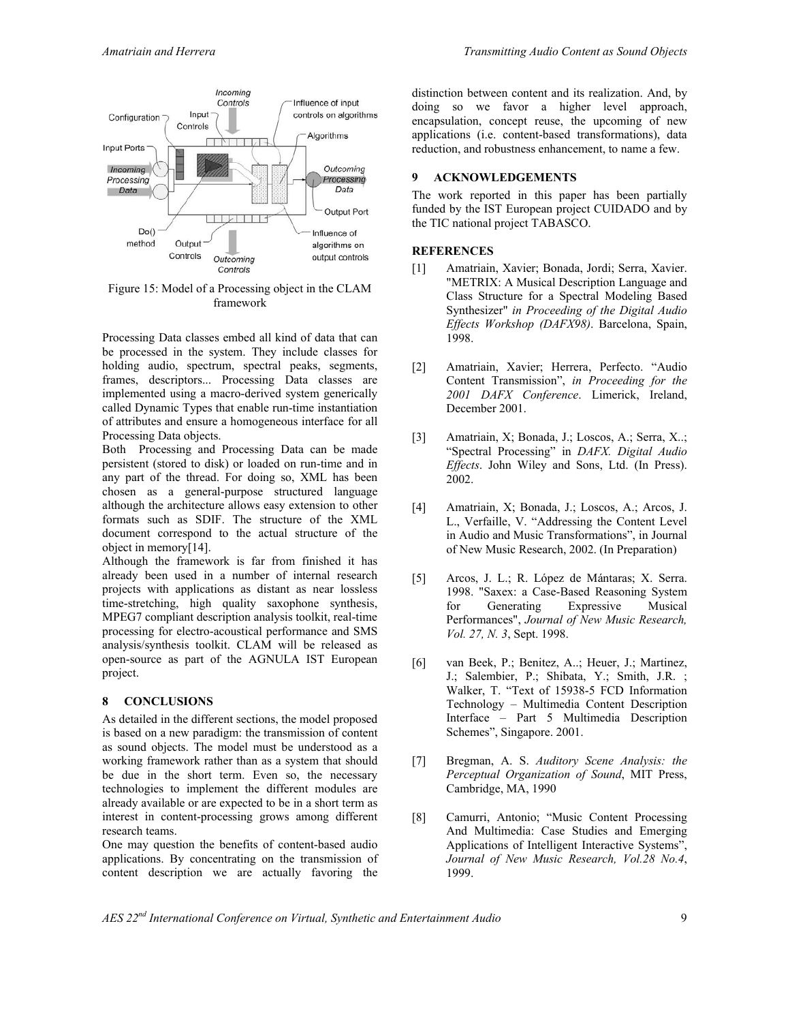

Figure 15: Model of a Processing object in the CLAM framework

Processing Data classes embed all kind of data that can be processed in the system. They include classes for holding audio, spectrum, spectral peaks, segments, frames, descriptors... Processing Data classes are implemented using a macro-derived system generically called Dynamic Types that enable run-time instantiation of attributes and ensure a homogeneous interface for all Processing Data objects.

Both Processing and Processing Data can be made persistent (stored to disk) or loaded on run-time and in any part of the thread. For doing so, XML has been chosen as a general-purpose structured language although the architecture allows easy extension to other formats such as SDIF. The structure of the XML document correspond to the actual structure of the object in memory[14].

Although the framework is far from finished it has already been used in a number of internal research projects with applications as distant as near lossless time-stretching, high quality saxophone synthesis, MPEG7 compliant description analysis toolkit, real-time processing for electro-acoustical performance and SMS analysis/synthesis toolkit. CLAM will be released as open-source as part of the AGNULA IST European project.

#### **8 CONCLUSIONS**

As detailed in the different sections, the model proposed is based on a new paradigm: the transmission of content as sound objects. The model must be understood as a working framework rather than as a system that should be due in the short term. Even so, the necessary technologies to implement the different modules are already available or are expected to be in a short term as interest in content-processing grows among different research teams.

One may question the benefits of content-based audio applications. By concentrating on the transmission of content description we are actually favoring the distinction between content and its realization. And, by doing so we favor a higher level approach, encapsulation, concept reuse, the upcoming of new applications (i.e. content-based transformations), data reduction, and robustness enhancement, to name a few.

# **9 ACKNOWLEDGEMENTS**

The work reported in this paper has been partially funded by the IST European project CUIDADO and by the TIC national project TABASCO.

## **REFERENCES**

- [1] Amatriain, Xavier; Bonada, Jordi; Serra, Xavier. "METRIX: A Musical Description Language and Class Structure for a Spectral Modeling Based Synthesizer" *in Proceeding of the Digital Audio Effects Workshop (DAFX98)*. Barcelona, Spain, 1998.
- [2] Amatriain, Xavier; Herrera, Perfecto. "Audio Content Transmission", *in Proceeding for the 2001 DAFX Conference*. Limerick, Ireland, December 2001.
- [3] Amatriain, X; Bonada, J.; Loscos, A.; Serra, X..; "Spectral Processing" in *DAFX. Digital Audio Effects*. John Wiley and Sons, Ltd. (In Press). 2002.
- [4] Amatriain, X; Bonada, J.; Loscos, A.; Arcos, J. L., Verfaille, V. "Addressing the Content Level in Audio and Music Transformations", in Journal of New Music Research, 2002. (In Preparation)
- [5] Arcos, J. L.; R. López de Mántaras; X. Serra. 1998. "Saxex: a Case-Based Reasoning System for Generating Expressive Musical Performances", *Journal of New Music Research, Vol. 27, N. 3*, Sept. 1998.
- [6] van Beek, P.; Benitez, A..; Heuer, J.; Martinez, J.; Salembier, P.; Shibata, Y.; Smith, J.R. ; Walker, T. "Text of 15938-5 FCD Information Technology – Multimedia Content Description Interface – Part 5 Multimedia Description Schemes", Singapore. 2001.
- [7] Bregman, A. S. *Auditory Scene Analysis: the Perceptual Organization of Sound*, MIT Press, Cambridge, MA, 1990
- [8] Camurri, Antonio; "Music Content Processing And Multimedia: Case Studies and Emerging Applications of Intelligent Interactive Systems", *Journal of New Music Research, Vol.28 No.4*, 1999.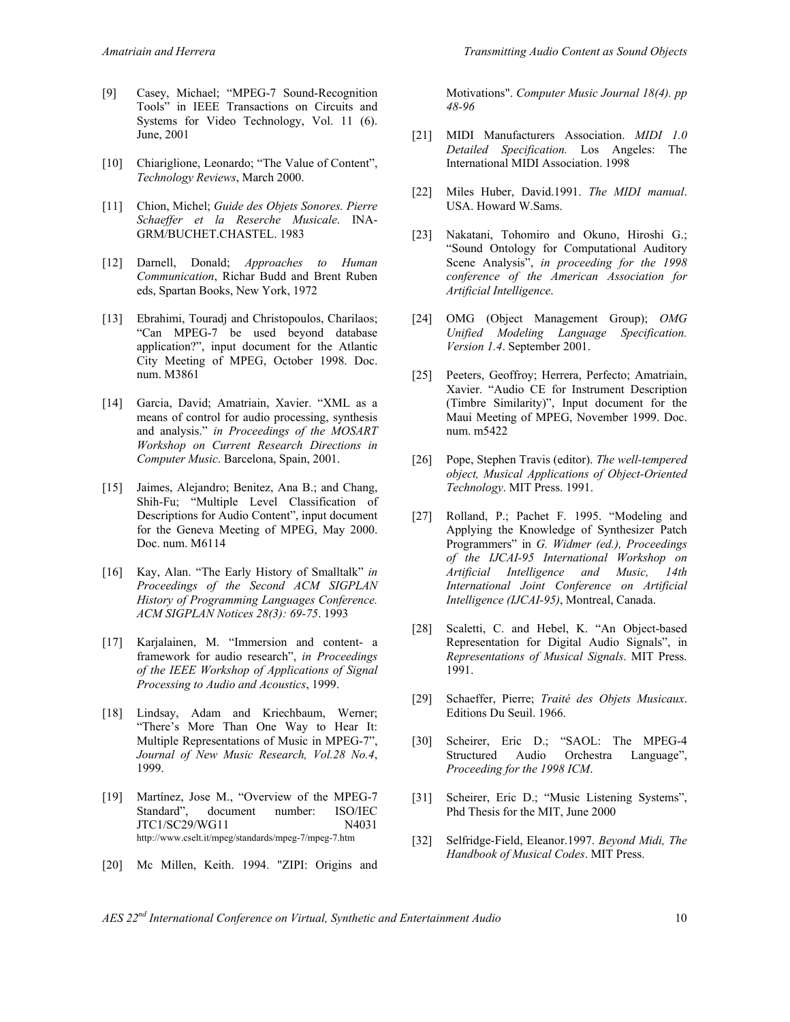- [9] Casey, Michael; "MPEG-7 Sound-Recognition Tools" in IEEE Transactions on Circuits and Systems for Video Technology, Vol. 11 (6). June, 2001
- [10] Chiariglione, Leonardo; "The Value of Content", *Technology Reviews*, March 2000.
- [11] Chion, Michel; *Guide des Objets Sonores. Pierre Schaeffer et la Reserche Musicale*. INA-GRM/BUCHET.CHASTEL. 1983
- [12] Darnell, Donald; *Approaches to Human Communication*, Richar Budd and Brent Ruben eds, Spartan Books, New York, 1972
- [13] Ebrahimi, Touradj and Christopoulos, Charilaos; "Can MPEG-7 be used beyond database application?", input document for the Atlantic City Meeting of MPEG, October 1998. Doc. num. M3861
- [14] Garcia, David; Amatriain, Xavier. "XML as a means of control for audio processing, synthesis and analysis." *in Proceedings of the MOSART Workshop on Current Research Directions in Computer Music*. Barcelona, Spain, 2001.
- [15] Jaimes, Alejandro; Benitez, Ana B.; and Chang, Shih-Fu; "Multiple Level Classification of Descriptions for Audio Content", input document for the Geneva Meeting of MPEG, May 2000. Doc. num. M6114
- [16] Kay, Alan. "The Early History of Smalltalk" *in Proceedings of the Second ACM SIGPLAN History of Programming Languages Conference. ACM SIGPLAN Notices 28(3): 69-75*. 1993
- [17] Karjalainen, M. "Immersion and content- a framework for audio research", *in Proceedings of the IEEE Workshop of Applications of Signal Processing to Audio and Acoustics*, 1999.
- [18] Lindsay, Adam and Kriechbaum, Werner; "There's More Than One Way to Hear It: Multiple Representations of Music in MPEG-7", *Journal of New Music Research, Vol.28 No.4*, 1999.
- [19] Martínez, Jose M., "Overview of the MPEG-7 Standard", document number: ISO/IEC JTC1/SC29/WG11 N4031 http://www.cselt.it/mpeg/standards/mpeg-7/mpeg-7.htm
- [20] Mc Millen, Keith. 1994. "ZIPI: Origins and

Motivations". *Computer Music Journal 18(4). pp 48-96*

- [21] MIDI Manufacturers Association. *MIDI 1.0 Detailed Specification.* Los Angeles: The International MIDI Association. 1998
- [22] Miles Huber, David.1991. *The MIDI manual*. USA. Howard W.Sams.
- [23] Nakatani, Tohomiro and Okuno, Hiroshi G.; "Sound Ontology for Computational Auditory Scene Analysis", *in proceeding for the 1998 conference of the American Association for Artificial Intelligence*.
- [24] OMG (Object Management Group); *OMG Unified Modeling Language Specification. Version 1.4*. September 2001.
- [25] Peeters, Geoffroy; Herrera, Perfecto; Amatriain, Xavier. "Audio CE for Instrument Description (Timbre Similarity)", Input document for the Maui Meeting of MPEG, November 1999. Doc. num. m5422
- [26] Pope, Stephen Travis (editor). *The well-tempered object, Musical Applications of Object-Oriented Technology*. MIT Press. 1991.
- [27] Rolland, P.; Pachet F. 1995. "Modeling and Applying the Knowledge of Synthesizer Patch Programmers" in *G. Widmer (ed.), Proceedings of the IJCAI-95 International Workshop on Artificial Intelligence and Music, 14th International Joint Conference on Artificial Intelligence (IJCAI-95)*, Montreal, Canada.
- [28] Scaletti, C. and Hebel, K. "An Object-based Representation for Digital Audio Signals", in *Representations of Musical Signals*. MIT Press. 1991.
- [29] Schaeffer, Pierre; *Traité des Objets Musicaux*. Editions Du Seuil. 1966.
- [30] Scheirer, Eric D.; "SAOL: The MPEG-4 Structured Audio Orchestra Language", *Proceeding for the 1998 ICM*.
- [31] Scheirer, Eric D.; "Music Listening Systems", Phd Thesis for the MIT, June 2000
- [32] Selfridge-Field, Eleanor.1997. *Beyond Midi, The Handbook of Musical Codes*. MIT Press.